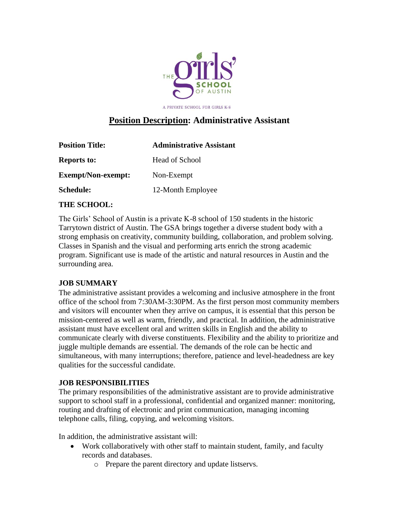

A PRIVATE SCHOOL FOR GIRLS K-8

# **Position Description: Administrative Assistant**

| <b>Position Title:</b>    | <b>Administrative Assistant</b> |
|---------------------------|---------------------------------|
| <b>Reports to:</b>        | Head of School                  |
| <b>Exempt/Non-exempt:</b> | Non-Exempt                      |
| <b>Schedule:</b>          | 12-Month Employee               |

### **THE SCHOOL:**

The Girls' School of Austin is a private K-8 school of 150 students in the historic Tarrytown district of Austin. The GSA brings together a diverse student body with a strong emphasis on creativity, community building, collaboration, and problem solving. Classes in Spanish and the visual and performing arts enrich the strong academic program. Significant use is made of the artistic and natural resources in Austin and the surrounding area.

# **JOB SUMMARY**

The administrative assistant provides a welcoming and inclusive atmosphere in the front office of the school from 7:30AM-3:30PM. As the first person most community members and visitors will encounter when they arrive on campus, it is essential that this person be mission-centered as well as warm, friendly, and practical. In addition, the administrative assistant must have excellent oral and written skills in English and the ability to communicate clearly with diverse constituents. Flexibility and the ability to prioritize and juggle multiple demands are essential. The demands of the role can be hectic and simultaneous, with many interruptions; therefore, patience and level-headedness are key qualities for the successful candidate.

### **JOB RESPONSIBILITIES**

The primary responsibilities of the administrative assistant are to provide administrative support to school staff in a professional, confidential and organized manner: monitoring, routing and drafting of electronic and print communication, managing incoming telephone calls, filing, copying, and welcoming visitors.

In addition, the administrative assistant will:

- Work collaboratively with other staff to maintain student, family, and faculty records and databases.
	- o Prepare the parent directory and update listservs.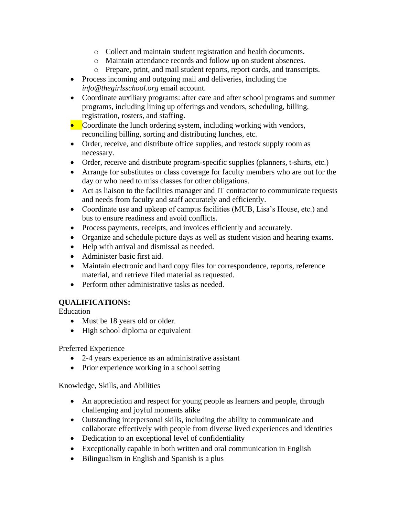- o Collect and maintain student registration and health documents.
- o Maintain attendance records and follow up on student absences.
- o Prepare, print, and mail student reports, report cards, and transcripts.
- Process incoming and outgoing mail and deliveries, including the *info@thegirlsschool.org* email account.
- Coordinate auxiliary programs: after care and after school programs and summer programs, including lining up offerings and vendors, scheduling, billing, registration, rosters, and staffing.
- Coordinate the lunch ordering system, including working with vendors, reconciling billing, sorting and distributing lunches, etc.
- Order, receive, and distribute office supplies, and restock supply room as necessary.
- Order, receive and distribute program-specific supplies (planners, t-shirts, etc.)
- Arrange for substitutes or class coverage for faculty members who are out for the day or who need to miss classes for other obligations.
- Act as liaison to the facilities manager and IT contractor to communicate requests and needs from faculty and staff accurately and efficiently.
- Coordinate use and upkeep of campus facilities (MUB, Lisa's House, etc.) and bus to ensure readiness and avoid conflicts.
- Process payments, receipts, and invoices efficiently and accurately.
- Organize and schedule picture days as well as student vision and hearing exams.
- Help with arrival and dismissal as needed.
- Administer basic first aid.
- Maintain electronic and hard copy files for correspondence, reports, reference material, and retrieve filed material as requested.
- Perform other administrative tasks as needed.

# **QUALIFICATIONS:**

Education

- Must be 18 years old or older.
- High school diploma or equivalent

Preferred Experience

- 2-4 years experience as an administrative assistant
- Prior experience working in a school setting

Knowledge, Skills, and Abilities

- An appreciation and respect for young people as learners and people, through challenging and joyful moments alike
- Outstanding interpersonal skills, including the ability to communicate and collaborate effectively with people from diverse lived experiences and identities
- Dedication to an exceptional level of confidentiality
- Exceptionally capable in both written and oral communication in English
- Bilingualism in English and Spanish is a plus